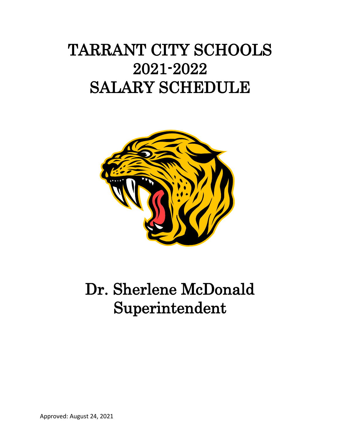# TARRANT CITY SCHOOLS 2021-2022 SALARY SCHEDULE



# Dr. Sherlene McDonald Superintendent

Approved: August 24, 2021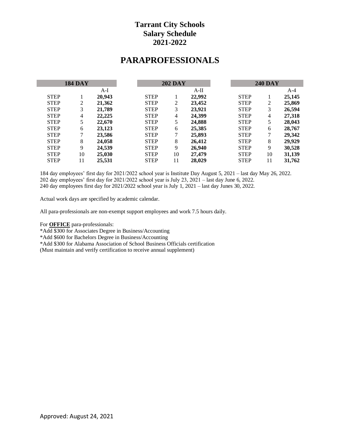# **PARAPROFESSIONALS**

|             | <b>184 DAY</b> |        |             | <b>202 DAY</b> |        |             | <b>240 DAY</b> |        |
|-------------|----------------|--------|-------------|----------------|--------|-------------|----------------|--------|
|             |                | $A-I$  |             |                | $A-II$ |             |                | $A-4$  |
| <b>STEP</b> |                | 20,943 | <b>STEP</b> |                | 22,992 | <b>STEP</b> |                | 25,145 |
| <b>STEP</b> | 2              | 21,362 | <b>STEP</b> | 2              | 23,452 | <b>STEP</b> | $\overline{2}$ | 25,869 |
| <b>STEP</b> | 3              | 21,789 | <b>STEP</b> | 3              | 23,921 | <b>STEP</b> | 3              | 26,594 |
| <b>STEP</b> | $\overline{4}$ | 22,225 | <b>STEP</b> | $\overline{4}$ | 24.399 | <b>STEP</b> | 4              | 27,318 |
| <b>STEP</b> | 5              | 22,670 | <b>STEP</b> | 5              | 24,888 | <b>STEP</b> | 5              | 28,043 |
| <b>STEP</b> | 6              | 23,123 | <b>STEP</b> | 6              | 25,385 | <b>STEP</b> | 6              | 28,767 |
| <b>STEP</b> | 7              | 23,586 | <b>STEP</b> | 7              | 25,893 | <b>STEP</b> | 7              | 29,342 |
| <b>STEP</b> | 8              | 24,058 | <b>STEP</b> | 8              | 26,412 | <b>STEP</b> | 8              | 29,929 |
| <b>STEP</b> | 9              | 24,539 | <b>STEP</b> | 9              | 26,940 | <b>STEP</b> | 9              | 30,528 |
| <b>STEP</b> | 10             | 25,030 | <b>STEP</b> | 10             | 27,479 | <b>STEP</b> | 10             | 31,139 |
| <b>STEP</b> | 11             | 25,531 | <b>STEP</b> | 11             | 28,029 | <b>STEP</b> | 11             | 31,762 |

184 day employees' first day for 2021/2022 school year is Institute Day August 5, 2021 – last day May 26, 2022. 202 day employees' first day for 2021/2022 school year is July 23, 2021 – last day June 6, 2022. 240 day employees first day for 2021/2022 school year is July 1, 2021 – last day Junes 30, 2022.

Actual work days are specified by academic calendar.

All para-professionals are non-exempt support employees and work 7.5 hours daily.

For **OFFICE** para-professionals:

\*Add \$300 for Associates Degree in Business/Accounting

\*Add \$600 for Bachelors Degree in Business/Accounting

\*Add \$300 for Alabama Association of School Business Officials certification

(Must maintain and verify certification to receive annual supplement)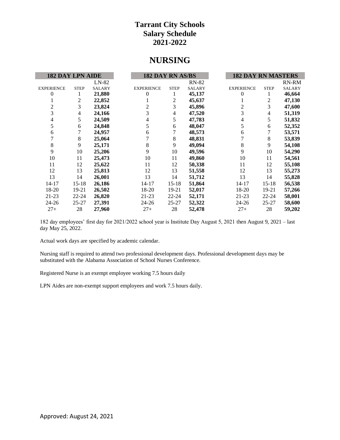# **NURSING**

| <b>182 DAY LPN AIDE</b> |             |               | 182 DAY RN AS/BS  |             |               | <b>182 DAY RN MASTERS</b> |             |               |
|-------------------------|-------------|---------------|-------------------|-------------|---------------|---------------------------|-------------|---------------|
|                         |             | $LN-82$       |                   |             | <b>RN-82</b>  |                           |             | RN-RM         |
| <b>EXPERIENCE</b>       | <b>STEP</b> | <b>SALARY</b> | <b>EXPERIENCE</b> | <b>STEP</b> | <b>SALARY</b> | <b>EXPERIENCE</b>         | <b>STEP</b> | <b>SALARY</b> |
| $\theta$                | 1           | 21,880        | 0                 | 1           | 45,137        | $\theta$                  | 1           | 46,664        |
|                         | 2           | 22,852        |                   | 2           | 45,637        |                           | 2           | 47,130        |
| 2                       | 3           | 23,824        | 2                 | 3           | 45,896        | 2                         | 3           | 47,600        |
| 3                       | 4           | 24,166        | 3                 | 4           | 47,520        | 3                         | 4           | 51,319        |
| 4                       | 5           | 24,509        | 4                 | 5           | 47,783        | 4                         | 5           | 51,832        |
| 5                       | 6           | 24,848        | 5                 | 6           | 48,047        | 5                         | 6           | 52,352        |
| 6                       | 7           | 24,957        | 6                 |             | 48,573        | 6                         |             | 53,571        |
|                         | 8           | 25,064        | 7                 | 8           | 48,831        | 7                         | 8           | 53,839        |
| $\,8\,$                 | 9           | 25,171        | 8                 | 9           | 49,094        | 8                         | 9           | 54,108        |
| 9                       | 10          | 25,206        | 9                 | 10          | 49,596        | 9                         | 10          | 54,290        |
| 10                      | 11          | 25,473        | 10                | 11          | 49,860        | 10                        | 11          | 54,561        |
| 11                      | 12          | 25,622        | 11                | 12          | 50,338        | 11                        | 12          | 55,108        |
| 12                      | 13          | 25,813        | 12                | 13          | 51,558        | 12                        | 13          | 55,273        |
| 13                      | 14          | 26,001        | 13                | 14          | 51,712        | 13                        | 14          | 55,828        |
| $14 - 17$               | $15 - 18$   | 26,186        | 14-17             | $15 - 18$   | 51,864        | 14-17                     | $15 - 18$   | 56,538        |
| 18-20                   | 19-21       | 26,502        | 18-20             | 19-21       | 52,017        | 18-20                     | 19-21       | 57,266        |
| 21-23                   | $22 - 24$   | 26,820        | 21-23             | $22 - 24$   | 52,171        | 21-23                     | $22 - 24$   | 58,001        |
| 24-26                   | $25 - 27$   | 27,391        | 24-26             | 25-27       | 52,322        | 24-26                     | $25 - 27$   | 58,600        |
| $27+$                   | 28          | 27,960        | $27+$             | 28          | 52,478        | $27+$                     | 28          | 59,202        |

182 day employees' first day for 2021/2022 school year is Institute Day August 5, 2021 then August 9, 2021 – last day May 25, 2022.

Actual work days are specified by academic calendar.

Nursing staff is required to attend two professional development days. Professional development days may be substituted with the Alabama Association of School Nurses Conference.

Registered Nurse is an exempt employee working 7.5 hours daily

LPN Aides are non-exempt support employees and work 7.5 hours daily.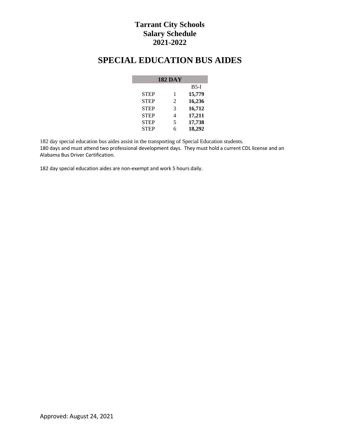# **SPECIAL EDUCATION BUS AIDES**

|             | <b>182 DAY</b> |        |
|-------------|----------------|--------|
|             |                | $B5-I$ |
| <b>STEP</b> | 1              | 15,779 |
| <b>STEP</b> | 2              | 16,236 |
| <b>STEP</b> | 3              | 16,712 |
| <b>STEP</b> | 4              | 17,211 |
| <b>STEP</b> | 5              | 17,738 |
| <b>STEP</b> | 6              | 18,292 |

182 day special education bus aides assist in the transporting of Special Education students. 180 days and must attend two professional development days. They must hold a current CDL license and an Alabama Bus Driver Certification.

182 day special education aides are non-exempt and work 5 hours daily.

I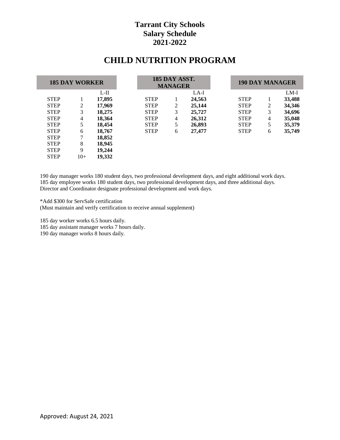# **CHILD NUTRITION PROGRAM**

|             | <b>185 DAY WORKER</b> |        |             | 185 DAY ASST.<br><b>MANAGER</b> |        | 190 DAY MANAGER |   |        |
|-------------|-----------------------|--------|-------------|---------------------------------|--------|-----------------|---|--------|
|             |                       | $L-H$  |             |                                 | LA-I   |                 |   | $LM-I$ |
| <b>STEP</b> |                       | 17,895 | <b>STEP</b> |                                 | 24,563 | <b>STEP</b>     |   | 33,488 |
| <b>STEP</b> | 2                     | 17,969 | <b>STEP</b> | 2                               | 25,144 | <b>STEP</b>     | 2 | 34,346 |
| <b>STEP</b> | 3                     | 18,275 | <b>STEP</b> | 3                               | 25,727 | <b>STEP</b>     | 3 | 34,696 |
| <b>STEP</b> | 4                     | 18,364 | <b>STEP</b> | 4                               | 26,312 | <b>STEP</b>     | 4 | 35,048 |
| <b>STEP</b> | 5                     | 18,454 | <b>STEP</b> | 5                               | 26,893 | <b>STEP</b>     | 5 | 35,379 |
| <b>STEP</b> | 6                     | 18,767 | <b>STEP</b> | 6                               | 27,477 | <b>STEP</b>     | 6 | 35,749 |
| <b>STEP</b> |                       | 18,852 |             |                                 |        |                 |   |        |
| <b>STEP</b> | 8                     | 18,945 |             |                                 |        |                 |   |        |
| <b>STEP</b> | 9                     | 19,244 |             |                                 |        |                 |   |        |
| <b>STEP</b> | $10+$                 | 19,332 |             |                                 |        |                 |   |        |

190 day manager works 180 student days, two professional development days, and eight additional work days. 185 day employee works 180 student days, two professional development days, and three additional days. Director and Coordinator designate professional development and work days.

\*Add \$300 for ServSafe certification (Must maintain and verify certification to receive annual supplement)

185 day worker works 6.5 hours daily.

185 day assistant manager works 7 hours daily.

190 day manager works 8 hours daily.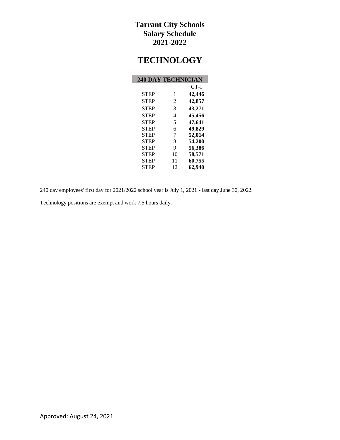# **TECHNOLOGY**

| <b>240 DAY TECHNICIAN</b> |                |        |
|---------------------------|----------------|--------|
|                           |                | $CT-I$ |
| <b>STEP</b>               | 1              | 42,446 |
| <b>STEP</b>               | 2              | 42,857 |
| <b>STEP</b>               | 3              | 43,271 |
| <b>STEP</b>               | $\overline{4}$ | 45,456 |
| <b>STEP</b>               | 5              | 47,641 |
| <b>STEP</b>               | 6              | 49,829 |
| <b>STEP</b>               | 7              | 52,014 |
| <b>STEP</b>               | 8              | 54,200 |
| <b>STEP</b>               | 9              | 56,386 |
| <b>STEP</b>               | 10             | 58,571 |
| <b>STEP</b>               | 11             | 60,755 |
| <b>STEP</b>               | 12             | 62,940 |

240 day employees' first day for 2021/2022 school year is July 1, 2021 - last day June 30, 2022.

Technology positions are exempt and work 7.5 hours daily.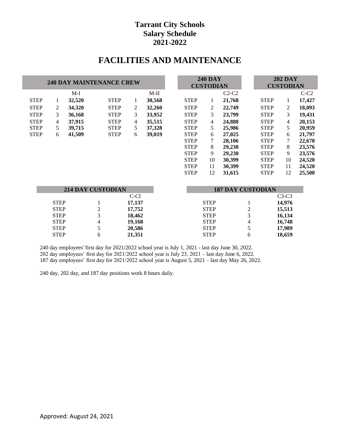# **FACILITIES AND MAINTENANCE**

|             |    |        | <b>240 DAY MAINTENANCE CREW</b> |                |        |             | <b>240 DAY</b><br><b>CUSTODIAN</b> |         |                          | <b>202 DAY</b><br><b>CUSTODIAN</b> |        |
|-------------|----|--------|---------------------------------|----------------|--------|-------------|------------------------------------|---------|--------------------------|------------------------------------|--------|
|             |    | $M-I$  |                                 |                | M-II   |             |                                    | $C2-C2$ |                          |                                    | $C-C2$ |
| <b>STEP</b> | 1  | 32,520 | <b>STEP</b>                     | 1              | 30,568 | <b>STEP</b> | 1                                  | 21,768  | <b>STEP</b>              | 1                                  | 17,427 |
| <b>STEP</b> | 2  | 34,320 | <b>STEP</b>                     | 2              | 32,260 | <b>STEP</b> | 2                                  | 22,749  | <b>STEP</b>              | 2                                  | 18,093 |
| <b>STEP</b> | 3  | 36,168 | <b>STEP</b>                     | 3              | 33,952 | <b>STEP</b> | 3                                  | 23,799  | <b>STEP</b>              | 3                                  | 19,431 |
| <b>STEP</b> | 4  | 37,915 | <b>STEP</b>                     | $\overline{4}$ | 35,515 | <b>STEP</b> | 4                                  | 24,888  | <b>STEP</b>              | 4                                  | 20,153 |
| <b>STEP</b> | 5. | 39,715 | <b>STEP</b>                     | 5              | 37,328 | <b>STEP</b> | 5                                  | 25,986  | <b>STEP</b>              | 5                                  | 20,959 |
| <b>STEP</b> | 6  | 41,509 | <b>STEP</b>                     | 6              | 39,019 | <b>STEP</b> | 6                                  | 27,025  | <b>STEP</b>              | 6                                  | 21,797 |
|             |    |        |                                 |                |        | <b>STEP</b> | 7                                  | 28,106  | <b>STEP</b>              | 7                                  | 22,670 |
|             |    |        |                                 |                |        | <b>STEP</b> | 8                                  | 29,230  | <b>STEP</b>              | 8                                  | 23,576 |
|             |    |        |                                 |                |        | <b>STEP</b> | 9                                  | 29,230  | <b>STEP</b>              | 9                                  | 23,576 |
|             |    |        |                                 |                |        | <b>STEP</b> | 10                                 | 30,399  | <b>STEP</b>              | 10                                 | 24,520 |
|             |    |        |                                 |                |        | <b>STEP</b> | 11                                 | 30,399  | <b>STEP</b>              | 11                                 | 24,520 |
|             |    |        |                                 |                |        | <b>STEP</b> | 12                                 | 31,615  | <b>STEP</b>              | 12                                 | 25,500 |
|             |    |        |                                 |                |        |             |                                    |         |                          |                                    |        |
|             |    |        | <b>214 DAY CUSTODIAN</b>        |                |        |             |                                    |         | <b>187 DAY CUSTODIAN</b> |                                    |        |
|             |    |        |                                 | $\cap$ $\cap$  |        |             |                                    |         |                          | C <sub>2</sub> C <sub>2</sub>      |        |

| <i>LIA DA L</i> CUSTODIAN |   |        |             | 10/ DAT CUSTUDIAN |         |
|---------------------------|---|--------|-------------|-------------------|---------|
|                           |   | C-CI   |             |                   | $C3-C3$ |
| <b>STEP</b>               |   | 17,137 | <b>STEP</b> |                   | 14,976  |
| <b>STEP</b>               | ∠ | 17,752 | <b>STEP</b> | 2                 | 15,513  |
| <b>STEP</b>               |   | 18,462 | <b>STEP</b> |                   | 16,134  |
| <b>STEP</b>               | 4 | 19,168 | <b>STEP</b> | 4                 | 16,748  |
| <b>STEP</b>               |   | 20,586 | <b>STEP</b> |                   | 17,989  |
| <b>STEP</b>               | 6 | 21,351 | <b>STEP</b> | 6                 | 18,659  |
|                           |   |        |             |                   |         |

240 day employees' first day for 2021/2022 school year is July 1, 2021 - last day June 30, 2022. 202 day employees' first day for 2021/2022 school year is July 23, 2021 – last day June 6, 2022. 187 day employees' first day for 2021/2022 school year is August 5, 2021 – last day May 26, 2022.

240 day, 202 day, and 187 day positions work 8 hours daily.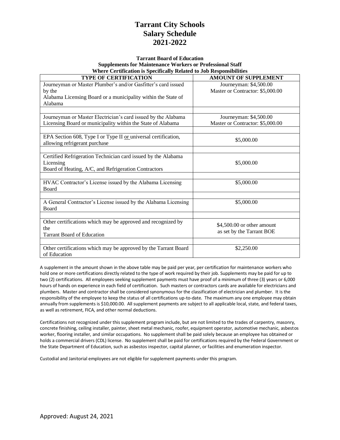#### **Tarrant Board of Education Supplements for Maintenance Workers or Professional Staff Where Certification is Specifically Related to Job Responsibilities**

| <b>TYPE OF CERTIFICATION</b>                                    | <b>AMOUNT OF SUPPLEMENT</b>      |
|-----------------------------------------------------------------|----------------------------------|
| Journeyman or Master Plumber's and/or Gasfitter's card issued   | Journeyman: \$4,500.00           |
| by the                                                          | Master or Contractor: \$5,000.00 |
| Alabama Licensing Board or a municipality within the State of   |                                  |
| Alabama                                                         |                                  |
|                                                                 |                                  |
| Journeyman or Master Electrician's card issued by the Alabama   | Journeyman: \$4,500.00           |
| Licensing Board or municipality within the State of Alabama     | Master or Contractor: \$5,000.00 |
|                                                                 |                                  |
| EPA Section 608, Type I or Type II or universal certification,  |                                  |
| allowing refrigerant purchase                                   | \$5,000.00                       |
|                                                                 |                                  |
| Certified Refrigeration Technician card issued by the Alabama   |                                  |
| Licensing                                                       | \$5,000.00                       |
| Board of Heating, A/C, and Refrigeration Contractors            |                                  |
|                                                                 |                                  |
| HVAC Contractor's License issued by the Alabama Licensing       | \$5,000.00                       |
| <b>Board</b>                                                    |                                  |
|                                                                 |                                  |
| A General Contractor's License issued by the Alabama Licensing  | \$5,000.00                       |
| <b>Board</b>                                                    |                                  |
|                                                                 |                                  |
| Other certifications which may be approved and recognized by    | \$4,500.00 or other amount       |
| the                                                             | as set by the Tarrant BOE        |
| <b>Tarrant Board of Education</b>                               |                                  |
|                                                                 |                                  |
| Other certifications which may be approved by the Tarrant Board | \$2,250.00                       |
| of Education                                                    |                                  |

A supplement in the amount shown in the above table may be paid per year, per certification for maintenance workers who hold one or more certifications directly related to the type of work required by their job. Supplements may be paid for up to two (2) certifications. All employees seeking supplement payments must have proof of a minimum of three (3) years or 6,000 hours of hands on experience in each field of certification. Such masters or contractors cards are available for electricians and plumbers. Master and contractor shall be considered synonymous for the classification of electrician and plumber. It is the responsibility of the employee to keep the status of all certifications up-to-date. The maximum any one employee may obtain annually from supplements is \$10,000.00. All supplement payments are subject to all applicable local, state, and federal taxes, as well as retirement, FICA, and other normal deductions.

Certifications not recognized under this supplement program include, but are not limited to the trades of carpentry, masonry, concrete finishing, ceiling installer, painter, sheet metal mechanic, roofer, equipment operator, automotive mechanic, asbestos worker, flooring installer, and similar occupations. No supplement shall be paid solely because an employee has obtained or holds a commercial drivers (CDL) license. No supplement shall be paid for certifications required by the Federal Government or the State Department of Education, such as asbestos inspector, capital planner, or facilities and enumeration inspector.

Custodial and Janitorial employees are not eligible for supplement payments under this program.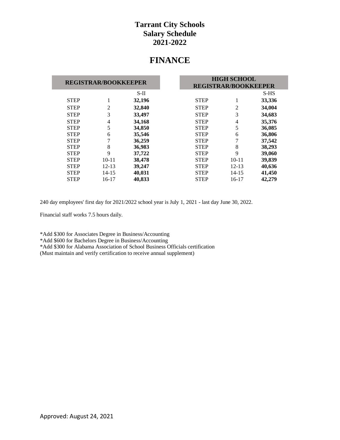# **FINANCE**

| <b>REGISTRAR/BOOKKEEPER</b> |                |        | <b>HIGH SCHOOL</b> |                             |        |  |
|-----------------------------|----------------|--------|--------------------|-----------------------------|--------|--|
|                             |                |        |                    | <b>REGISTRAR/BOOKKEEPER</b> |        |  |
|                             |                | $S-II$ |                    |                             | S-HS   |  |
| <b>STEP</b>                 | 1              | 32,196 | <b>STEP</b>        |                             | 33,336 |  |
| <b>STEP</b>                 | $\overline{2}$ | 32,840 | <b>STEP</b>        | 2                           | 34,004 |  |
| <b>STEP</b>                 | 3              | 33,497 | <b>STEP</b>        | 3                           | 34,683 |  |
| <b>STEP</b>                 | 4              | 34,168 | <b>STEP</b>        | 4                           | 35,376 |  |
| <b>STEP</b>                 | 5              | 34,850 | <b>STEP</b>        | 5                           | 36,085 |  |
| <b>STEP</b>                 | 6              | 35,546 | <b>STEP</b>        | 6                           | 36,806 |  |
| <b>STEP</b>                 | 7              | 36,259 | <b>STEP</b>        |                             | 37,542 |  |
| <b>STEP</b>                 | 8              | 36,983 | <b>STEP</b>        | 8                           | 38,293 |  |
| <b>STEP</b>                 | 9              | 37,722 | <b>STEP</b>        | 9                           | 39,060 |  |
| <b>STEP</b>                 | $10 - 11$      | 38,478 | <b>STEP</b>        | $10 - 11$                   | 39,839 |  |
| <b>STEP</b>                 | $12 - 13$      | 39,247 | <b>STEP</b>        | $12 - 13$                   | 40,636 |  |
| <b>STEP</b>                 | $14 - 15$      | 40,031 | <b>STEP</b>        | $14 - 15$                   | 41,450 |  |
| <b>STEP</b>                 | $16-17$        | 40,833 | <b>STEP</b>        | 16-17                       | 42,279 |  |

240 day employees' first day for 2021/2022 school year is July 1, 2021 - last day June 30, 2022.

Financial staff works 7.5 hours daily.

\*Add \$300 for Associates Degree in Business/Accounting

\*Add \$600 for Bachelors Degree in Business/Accounting

\*Add \$300 for Alabama Association of School Business Officials certification

(Must maintain and verify certification to receive annual supplement)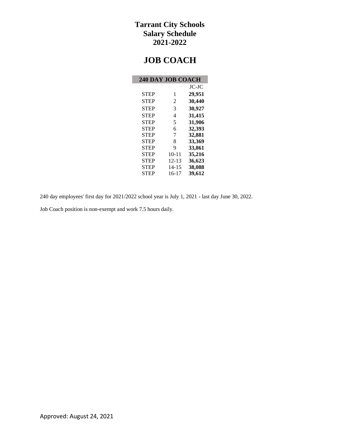# **JOB COACH**

| <b>240 DAY JOB COACH</b> |                |        |
|--------------------------|----------------|--------|
|                          |                | JC-JC  |
| <b>STEP</b>              | 1              | 29,951 |
| <b>STEP</b>              | $\overline{c}$ | 30,440 |
| <b>STEP</b>              | 3              | 30,927 |
| <b>STEP</b>              | $\overline{4}$ | 31,415 |
| <b>STEP</b>              | 5              | 31,906 |
| <b>STEP</b>              | 6              | 32,393 |
| <b>STEP</b>              | 7              | 32,881 |
| <b>STEP</b>              | 8              | 33,369 |
| <b>STEP</b>              | 9              | 33,861 |
| <b>STEP</b>              | $10 - 11$      | 35,216 |
| <b>STEP</b>              | $12 - 13$      | 36,623 |
| <b>STEP</b>              | $14 - 15$      | 38,088 |
| <b>STEP</b>              | 16-17          | 39,612 |

240 day employees' first day for 2021/2022 school year is July 1, 2021 - last day June 30, 2022.

Job Coach position is non-exempt and work 7.5 hours daily.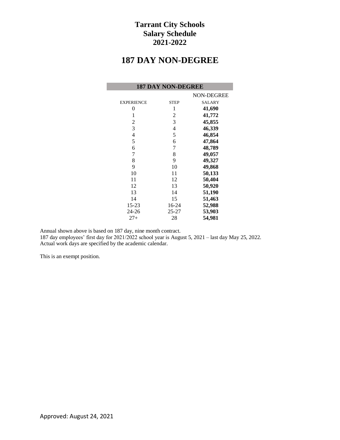# **187 DAY NON-DEGREE**

|                   | <b>187 DAY NON-DEGREE</b> |               |
|-------------------|---------------------------|---------------|
|                   |                           | NON-DEGREE    |
| <b>EXPERIENCE</b> | <b>STEP</b>               | <b>SALARY</b> |
| 0                 | 1                         | 41,690        |
| 1                 | 2                         | 41,772        |
| 2                 | 3                         | 45,855        |
| 3                 | 4                         | 46,339        |
| 4                 | 5                         | 46,854        |
| 5                 | 6                         | 47,864        |
| 6                 | 7                         | 48,789        |
| 7                 | 8                         | 49,057        |
| 8                 | 9                         | 49,327        |
| 9                 | 10                        | 49,868        |
| 10                | 11                        | 50,133        |
| 11                | 12                        | 50,404        |
| 12                | 13                        | 50,920        |
| 13                | 14                        | 51,190        |
| 14                | 15                        | 51,463        |
| $15 - 23$         | 16-24                     | 52,988        |
| $24 - 26$         | 25-27                     | 53,903        |
| $27+$             | 28                        | 54,981        |

Annual shown above is based on 187 day, nine month contract.

187 day employees' first day for 2021/2022 school year is August 5, 2021 – last day May 25, 2022. Actual work days are specified by the academic calendar.

This is an exempt position.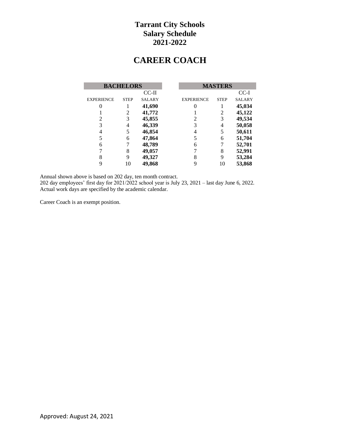# **CAREER COACH**

|                   | <b>BACHELORS</b> |               |                   | <b>MASTERS</b> |               |
|-------------------|------------------|---------------|-------------------|----------------|---------------|
|                   |                  | CC-II         |                   |                | CC-I          |
| <b>EXPERIENCE</b> | <b>STEP</b>      | <b>SALARY</b> | <b>EXPERIENCE</b> | <b>STEP</b>    | <b>SALARY</b> |
|                   |                  | 41,690        |                   |                | 45,034        |
|                   | 2                | 41,772        |                   | 2              | 45,122        |
| 2                 | 3                | 45,855        | 2                 | 3              | 49,534        |
| 3                 | 4                | 46,339        | 3                 | 4              | 50,058        |
| 4                 |                  | 46,854        | 4                 | 5              | 50,611        |
|                   | 6                | 47,864        | 5                 | 6              | 51,704        |
| 6                 |                  | 48,789        | 6                 |                | 52,701        |
|                   | 8                | 49,057        |                   | 8              | 52,991        |
| 8                 | 9                | 49,327        | 8                 | 9              | 53,284        |
| 9                 | 10               | 49,868        | 9                 | 10             | 53,868        |

Annual shown above is based on 202 day, ten month contract.

202 day employees' first day for 2021/2022 school year is July 23, 2021 – last day June 6, 2022. Actual work days are specified by the academic calendar.

Career Coach is an exempt position.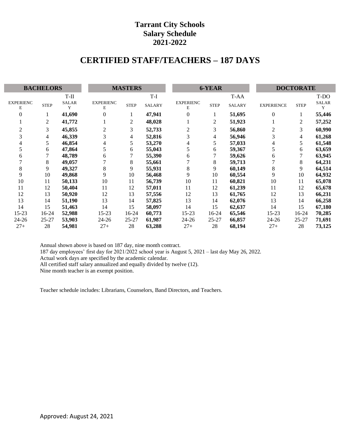# **CERTIFIED STAFF/TEACHERS – 187 DAYS**

| <b>BACHELORS</b>      |              |                   | <b>MASTERS</b>        |                |               | 6-YEAR                |             |               | <b>DOCTORATE</b>  |             |                   |
|-----------------------|--------------|-------------------|-----------------------|----------------|---------------|-----------------------|-------------|---------------|-------------------|-------------|-------------------|
|                       |              | $T-II$            |                       |                | $T-I$         |                       |             | T-AA          |                   |             | T-DO              |
| <b>EXPERIENC</b><br>Е | ${\tt STEP}$ | <b>SALAR</b><br>Y | <b>EXPERIENC</b><br>E | <b>STEP</b>    | <b>SALARY</b> | <b>EXPERIENC</b><br>Е | <b>STEP</b> | <b>SALARY</b> | <b>EXPERIENCE</b> | <b>STEP</b> | <b>SALAR</b><br>Y |
| 0                     |              | 41,690            | $\Omega$              |                | 47,941        | $\Omega$              |             | 51,695        | $\overline{0}$    |             | 55,446            |
|                       | 2            | 41,772            |                       | $\overline{2}$ | 48,028        |                       | 2           | 51,923        |                   | 2           | 57,252            |
| $\overline{c}$        | 3            | 45,855            | 2                     | 3              | 52,733        | 2                     | 3           | 56,860        | 2                 | 3           | 60,990            |
| 3                     | 4            | 46,339            | 3                     | 4              | 52,816        | 3                     | 4           | 56,946        | 3                 | 4           | 61,268            |
| 4                     | 5            | 46,854            | 4                     | 5              | 53,270        | 4                     | 5           | 57,033        | 4                 |             | 61,548            |
| 5                     | 6            | 47,864            | 5                     | 6              | 55,043        | 5                     | 6           | 59,367        |                   | 6           | 63,659            |
| h                     |              | 48,789            | 6                     |                | 55,390        | 6                     |             | 59,626        | 6                 |             | 63,945            |
|                       | 8            | 49,057            |                       | 8              | 55,661        |                       | 8           | 59,713        |                   | 8           | 64,231            |
| 8                     | 9            | 49,327            | 8                     | 9              | 55,931        | 8                     | 9           | 60,149        | 8                 | 9           | 64,514            |
| 9                     | 10           | 49,868            | 9                     | 10             | 56,468        | 9                     | 10          | 60,554        | 9                 | 10          | 64,932            |
| 10                    | 11           | 50,133            | 10                    | 11             | 56,739        | 10                    | 11          | 60,821        | 10                | 11          | 65,078            |
| 11                    | 12           | 50,404            | 11                    | 12             | 57,011        | 11                    | 12          | 61,239        | 11                | 12          | 65,678            |
| 12                    | 13           | 50,920            | 12                    | 13             | 57,556        | 12                    | 13          | 61,765        | 12                | 13          | 66,231            |
| 13                    | 14           | 51,190            | 13                    | 14             | 57,825        | 13                    | 14          | 62,076        | 13                | 14          | 66,258            |
| 14                    | 15           | 51,463            | 14                    | 15             | 58,097        | 14                    | 15          | 62,637        | 14                | 15          | 67,180            |
| $15 - 23$             | $16-24$      | 52,988            | $15 - 23$             | $16-24$        | 60,773        | $15 - 23$             | $16 - 24$   | 65,546        | $15 - 23$         | $16-24$     | 70,285            |
| $24 - 26$             | $25 - 27$    | 53,903            | $24 - 26$             | $25 - 27$      | 61,987        | $24 - 26$             | $25 - 27$   | 66,857        | $24 - 26$         | $25 - 27$   | 71,691            |
| $27+$                 | 28           | 54,981            | $27+$                 | 28             | 63,288        | $27+$                 | 28          | 68,194        | $27+$             | 28          | 73,125            |

Annual shown above is based on 187 day, nine month contract. 187 day employees' first day for 2021/2022 school year is August 5, 2021 – last day May 26, 2022. Actual work days are specified by the academic calendar. All certified staff salary annualized and equally divided by twelve (12).

Nine month teacher is an exempt position.

I

Teacher schedule includes: Librarians, Counselors, Band Directors, and Teachers.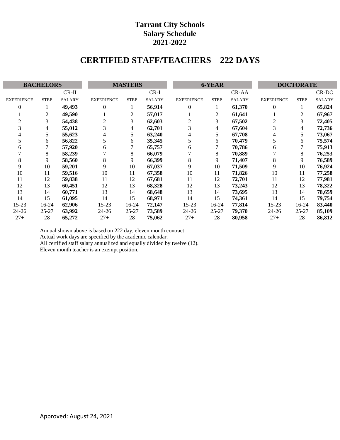# **CERTIFIED STAFF/TEACHERS – 222 DAYS**

| <b>BACHELORS</b>  |             |               | <b>MASTERS</b>    |             |               | 6-YEAR            |             |               | <b>DOCTORATE</b>  |             |               |
|-------------------|-------------|---------------|-------------------|-------------|---------------|-------------------|-------------|---------------|-------------------|-------------|---------------|
|                   |             | $CR-II$       |                   |             | $CR-I$        |                   |             | CR-AA         |                   |             | CR-DO         |
| <b>EXPERIENCE</b> | <b>STEP</b> | <b>SALARY</b> | <b>EXPERIENCE</b> | <b>STEP</b> | <b>SALARY</b> | <b>EXPERIENCE</b> | <b>STEP</b> | <b>SALARY</b> | <b>EXPERIENCE</b> | <b>STEP</b> | <b>SALARY</b> |
| $\Omega$          |             | 49,493        | $\theta$          |             | 56,914        | $\overline{0}$    |             | 61,370        | 0                 | 1           | 65,824        |
|                   | 2           | 49,590        |                   | 2           | 57,017        |                   | 2           | 61,641        |                   | 2           | 67,967        |
|                   | 3           | 54,438        | 2                 | 3           | 62,603        | 2                 | 3           | 67,502        | 2                 | 3           | 72,405        |
|                   | 4           | 55,012        | 3                 | 4           | 62,701        | 3                 | 4           | 67,604        |                   | 4           | 72,736        |
|                   | 5           | 55,623        |                   | 5           | 63,240        | 4                 | 5           | 67,708        | 4                 | 5           | 73,067        |
|                   | 6           | 56,822        | 5                 | 6           | 35,345        | 5                 | 6           | 70,479        |                   | 6           | 75,574        |
| 6                 | 7           | 57,920        | 6                 |             | 65,757        | 6                 | 7           | 70,786        | 6                 |             | 75,913        |
|                   | 8           | 58,239        |                   | 8           | 66,079        |                   | 8           | 70,889        |                   | 8           | 76,253        |
| 8                 | 9           | 58,560        | 8                 | 9           | 66,399        | 8                 | 9           | 71,407        | 8                 | 9           | 76,589        |
| 9                 | 10          | 59,201        | 9                 | 10          | 67,037        | 9                 | 10          | 71,509        | 9                 | 10          | 76,924        |
| 10                | 11          | 59,516        | 10                | 11          | 67,358        | 10                | 11          | 71,826        | 10                | 11          | 77,258        |
| 11                | 12          | 59,838        | 11                | 12          | 67,681        | 11                | 12          | 72,701        | 11                | 12          | 77,981        |
| 12                | 13          | 60,451        | 12                | 13          | 68,328        | 12                | 13          | 73,243        | 12                | 13          | 78,322        |
| 13                | 14          | 60,771        | 13                | 14          | 68,648        | 13                | 14          | 73,695        | 13                | 14          | 78,659        |
| 14                | 15          | 61,095        | 14                | 15          | 68,971        | 14                | 15          | 74,361        | 14                | 15          | 79,754        |
| 15-23             | $16-24$     | 62,906        | $15 - 23$         | $16-24$     | 72,147        | $15 - 23$         | $16-24$     | 77,814        | $15 - 23$         | 16-24       | 83,440        |
| $24 - 26$         | $25 - 27$   | 63,992        | $24 - 26$         | $25 - 27$   | 73,589        | $24 - 26$         | $25 - 27$   | 79,370        | 24-26             | $25 - 27$   | 85,109        |
| $27+$             | 28          | 65,272        | $27+$             | 28          | 75,062        | $27+$             | 28          | 80,958        | $27+$             | 28          | 86,812        |

Annual shown above is based on 222 day, eleven month contract. Actual work days are specified by the academic calendar. All certified staff salary annualized and equally divided by twelve (12). Eleven month teacher is an exempt position.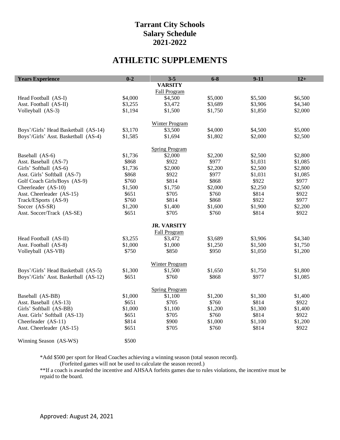# **ATHLETIC SUPPLEMENTS**

| <b>Years Experience</b>               | $0 - 2$ | $3 - 5$               | $6 - 8$ | $9 - 11$ | $12+$   |
|---------------------------------------|---------|-----------------------|---------|----------|---------|
|                                       |         | <b>VARSITY</b>        |         |          |         |
|                                       |         | Fall Program          |         |          |         |
| Head Football (AS-I)                  | \$4,000 | \$4,500               | \$5,000 | \$5,500  | \$6,500 |
| Asst. Football (AS-II)                | \$3,255 | \$3,472               | \$3,689 | \$3,906  | \$4,340 |
| Volleyball (AS-3)                     | \$1,194 | \$1,500               | \$1,750 | \$1,850  | \$2,000 |
|                                       |         |                       |         |          |         |
|                                       |         | Winter Program        |         |          |         |
| Boys'/Girls' Head Basketball (AS-14)  | \$3,170 | \$3,500               | \$4,000 | \$4,500  | \$5,000 |
| Boys'/Girls' Asst. Basketball (AS-4)  | \$1,585 | \$1,694               | \$1,802 | \$2,000  | \$2,500 |
|                                       |         | <b>Spring Program</b> |         |          |         |
| Baseball (AS-6)                       | \$1,736 | \$2,000               | \$2,200 | \$2,500  | \$2,800 |
| Asst. Baseball (AS-7)                 | \$868   | \$922                 | \$977   | \$1,031  | \$1,085 |
| Girls' Softball (AS-6)                | \$1,736 | \$2,000               | \$2,200 | \$2,500  | \$2,800 |
| Asst. Girls' Softball (AS-7)          | \$868   | \$922                 | \$977   | \$1,031  | \$1,085 |
| Golf Coach Girls/Boys (AS-9)          | \$760   | \$814                 | \$868   | \$922    | \$977   |
| Cheerleader (AS-10)                   | \$1,500 | \$1,750               | \$2,000 | \$2,250  | \$2,500 |
| Asst. Cheerleader (AS-15)             | \$651   | \$705                 | \$760   | \$814    | \$922   |
| Track/ESports (AS-9)                  | \$760   | \$814                 | \$868   | \$922    | \$977   |
| Soccer (AS-SR)                        | \$1,200 | \$1,400               | \$1,600 | \$1,900  | \$2,200 |
| Asst. Soccer/Track (AS-SE)            | \$651   | \$705                 | \$760   | \$814    | \$922   |
|                                       |         | <b>JR. VARSITY</b>    |         |          |         |
|                                       |         | Fall Program          |         |          |         |
| Head Football (AS-II)                 | \$3,255 | \$3,472               | \$3,689 | \$3,906  | \$4,340 |
| Asst. Football (AS-8)                 | \$1,000 | \$1,000               | \$1,250 | \$1,500  | \$1,750 |
| Volleyball (AS-VB)                    | \$750   | \$850                 | \$950   | \$1,050  | \$1,200 |
|                                       |         |                       |         |          |         |
|                                       |         | <b>Winter Program</b> |         |          |         |
| Boys'/Girls' Head Basketball (AS-5)   | \$1,300 | \$1,500               | \$1,650 | \$1,750  | \$1,800 |
| Boys'/Girls' Asst. Basketball (AS-12) | \$651   | \$760                 | \$868   | \$977    | \$1,085 |
|                                       |         | <b>Spring Program</b> |         |          |         |
| Baseball (AS-BB)                      | \$1,000 | \$1,100               | \$1,200 | \$1,300  | \$1,400 |
| Asst. Baseball (AS-13)                | \$651   | \$705                 | \$760   | \$814    | \$922   |
| Girls' Softball (AS-BB)               | \$1,000 | \$1,100               | \$1,200 | \$1,300  | \$1,400 |
| Asst. Girls' Softball (AS-13)         | \$651   | \$705                 | \$760   | \$814    | \$922   |
| Cheerleader (AS-11)                   | \$814   | \$900                 | \$1,000 | \$1,100  | \$1,200 |
| Asst. Cheerleader (AS-15)             | \$651   | \$705                 | \$760   | \$814    | \$922   |
|                                       |         |                       |         |          |         |
| Winning Season (AS-WS)                | \$500   |                       |         |          |         |

\*Add \$500 per sport for Head Coaches achieving a winning season (total season record).

(Forfeited games will not be used to calculate the season record.)

\*\*If a coach is awarded the incentive and AHSAA forfeits games due to rules violations, the incentive must be repaid to the board.